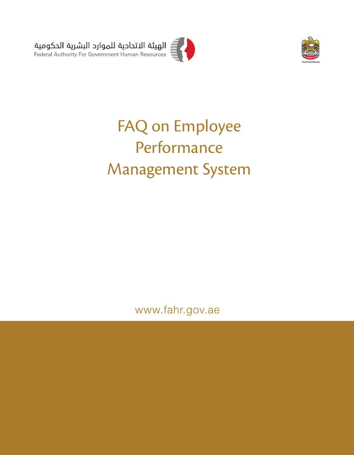

# FAQ on Employee Performance Management System

www.fahr.gov.ae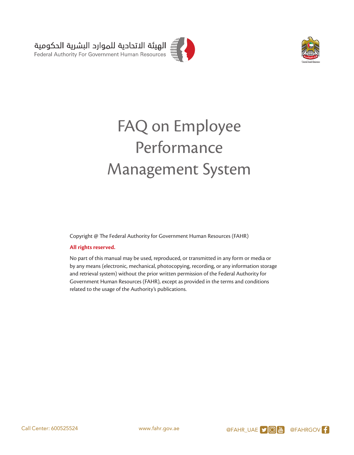

# FAQ on Employee Performance Management System

Copyright @ The Federal Authority for Government Human Resources (FAHR)

#### **All rights reserved.**

No part of this manual may be used, reproduced, or transmitted in any form or media or by any means (electronic, mechanical, photocopying, recording, or any information storage and retrieval system) without the prior written permission of the Federal Authority for Government Human Resources (FAHR), except as provided in the terms and conditions related to the usage of the Authority's publications.

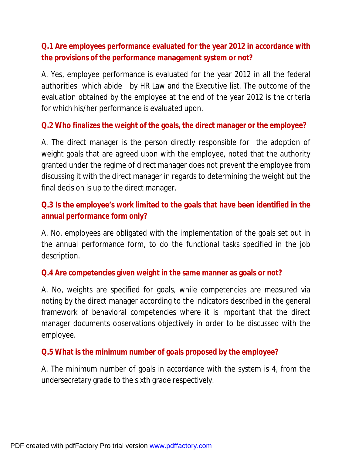# **Q.1 Are employees performance evaluated for the year 2012 in accordance with the provisions of the performance management system or not?**

A. Yes, employee performance is evaluated for the year 2012 in all the federal authorities which abide by HR Law and the Executive list. The outcome of the evaluation obtained by the employee at the end of the year 2012 is the criteria for which his/her performance is evaluated upon.

**Q.2 Who finalizes the weight of the goals, the direct manager or the employee?** 

A. The direct manager is the person directly responsible for the adoption of weight goals that are agreed upon with the employee, noted that the authority granted under the regime of direct manager does not prevent the employee from discussing it with the direct manager in regards to determining the weight but the final decision is up to the direct manager.

# **Q.3 Is the employee's work limited to the goals that have been identified in the annual performance form only?**

A. No, employees are obligated with the implementation of the goals set out in the annual performance form, to do the functional tasks specified in the job description.

#### **Q.4 Are competencies given weight in the same manner as goals or not?**

A. No, weights are specified for goals, while competencies are measured via noting by the direct manager according to the indicators described in the general framework of behavioral competencies where it is important that the direct manager documents observations objectively in order to be discussed with the employee.

#### **Q.5 What is the minimum number of goals proposed by the employee?**

A. The minimum number of goals in accordance with the system is 4, from the undersecretary grade to the sixth grade respectively.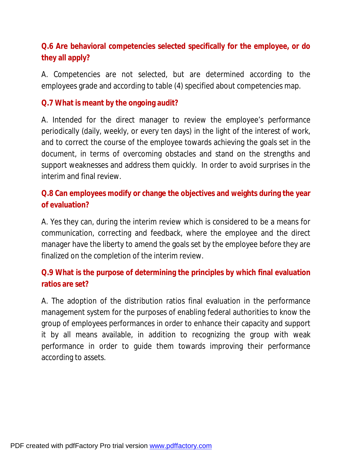# **Q.6 Are behavioral competencies selected specifically for the employee, or do they all apply?**

A. Competencies are not selected, but are determined according to the employees grade and according to table (4) specified about competencies map.

#### **Q.7 What is meant by the ongoing audit?**

A. Intended for the direct manager to review the employee's performance periodically (daily, weekly, or every ten days) in the light of the interest of work, and to correct the course of the employee towards achieving the goals set in the document, in terms of overcoming obstacles and stand on the strengths and support weaknesses and address them quickly. In order to avoid surprises in the interim and final review.

# **Q.8 Can employees modify or change the objectives and weights during the year of evaluation?**

A. Yes they can, during the interim review which is considered to be a means for communication, correcting and feedback, where the employee and the direct manager have the liberty to amend the goals set by the employee before they are finalized on the completion of the interim review.

# **Q.9 What is the purpose of determining the principles by which final evaluation ratios are set?**

A. The adoption of the distribution ratios final evaluation in the performance management system for the purposes of enabling federal authorities to know the group of employees performances in order to enhance their capacity and support it by all means available, in addition to recognizing the group with weak performance in order to guide them towards improving their performance according to assets.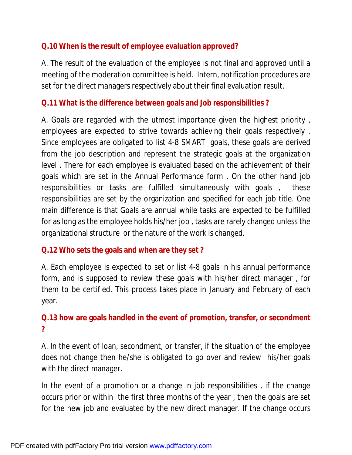#### **Q.10 When is the result of employee evaluation approved?**

A. The result of the evaluation of the employee is not final and approved until a meeting of the moderation committee is held. Intern, notification procedures are set for the direct managers respectively about their final evaluation result.

#### **Q.11 What is the difference between goals and Job responsibilities ?**

A. Goals are regarded with the utmost importance given the highest priority , employees are expected to strive towards achieving their goals respectively . Since employees are obligated to list 4-8 SMART goals, these goals are derived from the job description and represent the strategic goals at the organization level . There for each employee is evaluated based on the achievement of their goals which are set in the Annual Performance form . On the other hand job responsibilities or tasks are fulfilled simultaneously with goals , these responsibilities are set by the organization and specified for each job title. One main difference is that Goals are annual while tasks are expected to be fulfilled for as long as the employee holds his/her job , tasks are rarely changed unless the organizational structure or the nature of the work is changed.

#### **Q.12 Who sets the goals and when are they set ?**

A. Each employee is expected to set or list 4-8 goals in his annual performance form, and is supposed to review these goals with his/her direct manager , for them to be certified. This process takes place in January and February of each year.

### **Q.13 how are goals handled in the event of promotion, transfer, or secondment ?**

A. In the event of loan, secondment, or transfer, if the situation of the employee does not change then he/she is obligated to go over and review his/her goals with the direct manager.

In the event of a promotion or a change in job responsibilities , if the change occurs prior or within the first three months of the year , then the goals are set for the new job and evaluated by the new direct manager. If the change occurs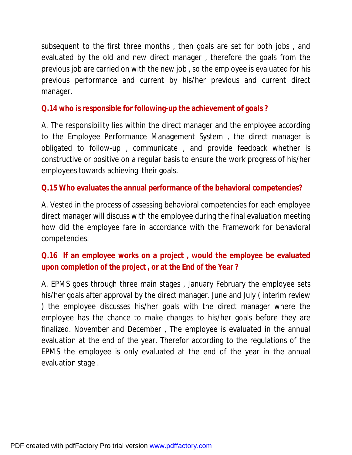subsequent to the first three months , then goals are set for both jobs , and evaluated by the old and new direct manager , therefore the goals from the previous job are carried on with the new job , so the employee is evaluated for his previous performance and current by his/her previous and current direct manager.

### **Q.14 who is responsible for following-up the achievement of goals ?**

A. The responsibility lies within the direct manager and the employee according to the Employee Performance Management System , the direct manager is obligated to follow-up , communicate , and provide feedback whether is constructive or positive on a regular basis to ensure the work progress of his/her employees towards achieving their goals.

#### **Q.15 Who evaluates the annual performance of the behavioral competencies?**

A. Vested in the process of assessing behavioral competencies for each employee direct manager will discuss with the employee during the final evaluation meeting how did the employee fare in accordance with the Framework for behavioral competencies.

# **Q.16 If an employee works on a project , would the employee be evaluated upon completion of the project , or at the End of the Year ?**

A. EPMS goes through three main stages , January February the employee sets his/her goals after approval by the direct manager. June and July ( interim review ) the employee discusses his/her goals with the direct manager where the employee has the chance to make changes to his/her goals before they are finalized. November and December , The employee is evaluated in the annual evaluation at the end of the year. Therefor according to the regulations of the EPMS the employee is only evaluated at the end of the year in the annual evaluation stage .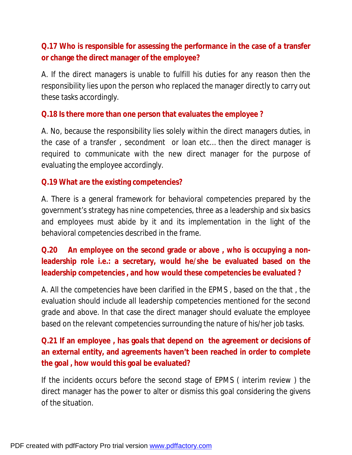# **Q.17 Who is responsible for assessing the performance in the case of a transfer or change the direct manager of the employee?**

A. If the direct managers is unable to fulfill his duties for any reason then the responsibility lies upon the person who replaced the manager directly to carry out these tasks accordingly.

#### **Q.18 Is there more than one person that evaluates the employee ?**

A. No, because the responsibility lies solely within the direct managers duties, in the case of a transfer , secondment or loan etc… then the direct manager is required to communicate with the new direct manager for the purpose of evaluating the employee accordingly.

#### **Q.19 What are the existing competencies?**

A. There is a general framework for behavioral competencies prepared by the government's strategy has nine competencies, three as a leadership and six basics and employees must abide by it and its implementation in the light of the behavioral competencies described in the frame.

**Q.20 An employee on the second grade or above , who is occupying a nonleadership role i.e.: a secretary, would he/she be evaluated based on the leadership competencies , and how would these competencies be evaluated ?** 

A. All the competencies have been clarified in the EPMS , based on the that , the evaluation should include all leadership competencies mentioned for the second grade and above. In that case the direct manager should evaluate the employee based on the relevant competencies surrounding the nature of his/her job tasks.

**Q.21 If an employee , has goals that depend on the agreement or decisions of an external entity, and agreements haven't been reached in order to complete the goal , how would this goal be evaluated?** 

If the incidents occurs before the second stage of EPMS ( interim review ) the direct manager has the power to alter or dismiss this goal considering the givens of the situation.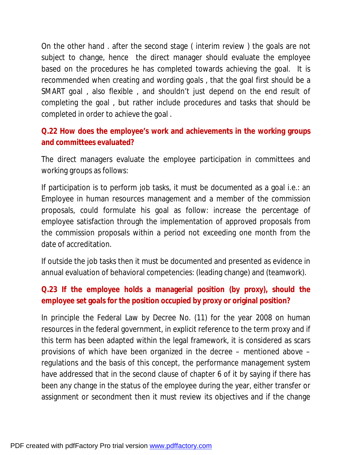On the other hand . after the second stage ( interim review ) the goals are not subject to change, hence the direct manager should evaluate the employee based on the procedures he has completed towards achieving the goal. It is recommended when creating and wording goals , that the goal first should be a SMART goal , also flexible , and shouldn't just depend on the end result of completing the goal , but rather include procedures and tasks that should be completed in order to achieve the goal .

**Q.22 How does the employee's work and achievements in the working groups and committees evaluated?** 

The direct managers evaluate the employee participation in committees and working groups as follows:

If participation is to perform job tasks, it must be documented as a goal i.e.: an Employee in human resources management and a member of the commission proposals, could formulate his goal as follow: increase the percentage of employee satisfaction through the implementation of approved proposals from the commission proposals within a period not exceeding one month from the date of accreditation.

If outside the job tasks then it must be documented and presented as evidence in annual evaluation of behavioral competencies: (leading change) and (teamwork).

# **Q.23 If the employee holds a managerial position (by proxy), should the employee set goals for the position occupied by proxy or original position?**

In principle the Federal Law by Decree No. (11) for the year 2008 on human resources in the federal government, in explicit reference to the term proxy and if this term has been adapted within the legal framework, it is considered as scars provisions of which have been organized in the decree – mentioned above – regulations and the basis of this concept, the performance management system have addressed that in the second clause of chapter 6 of it by saying if there has been any change in the status of the employee during the year, either transfer or assignment or secondment then it must review its objectives and if the change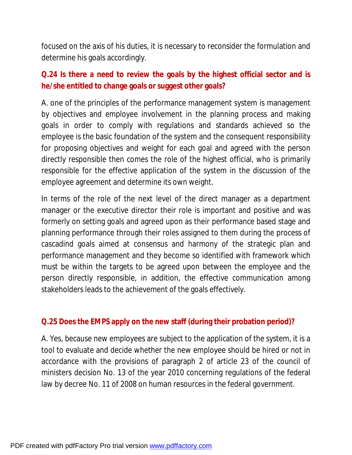focused on the axis of his duties, it is necessary to reconsider the formulation and determine his goals accordingly.

**Q.24 Is there a need to review the goals by the highest official sector and is he/she entitled to change goals or suggest other goals?** 

A. one of the principles of the performance management system is management by objectives and employee involvement in the planning process and making goals in order to comply with regulations and standards achieved so the employee is the basic foundation of the system and the consequent responsibility for proposing objectives and weight for each goal and agreed with the person directly responsible then comes the role of the highest official, who is primarily responsible for the effective application of the system in the discussion of the employee agreement and determine its own weight.

In terms of the role of the next level of the direct manager as a department manager or the executive director their role is important and positive and was formerly on setting goals and agreed upon as their performance based stage and planning performance through their roles assigned to them during the process of cascadind goals aimed at consensus and harmony of the strategic plan and performance management and they become so identified with framework which must be within the targets to be agreed upon between the employee and the person directly responsible, in addition, the effective communication among stakeholders leads to the achievement of the goals effectively.

#### **Q.25 Does the EMPS apply on the new staff (during their probation period)?**

A. Yes, because new employees are subject to the application of the system, it is a tool to evaluate and decide whether the new employee should be hired or not in accordance with the provisions of paragraph 2 of article 23 of the council of ministers decision No. 13 of the year 2010 concerning regulations of the federal law by decree No. 11 of 2008 on human resources in the federal government.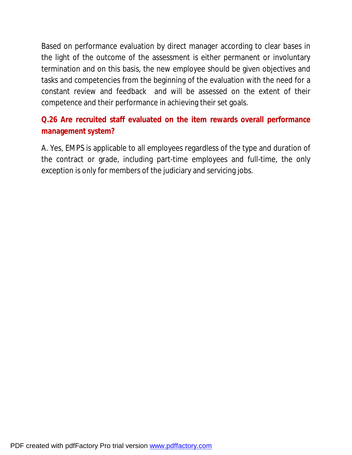Based on performance evaluation by direct manager according to clear bases in the light of the outcome of the assessment is either permanent or involuntary termination and on this basis, the new employee should be given objectives and tasks and competencies from the beginning of the evaluation with the need for a constant review and feedback and will be assessed on the extent of their competence and their performance in achieving their set goals.

**Q.26 Are recruited staff evaluated on the item rewards overall performance management system?** 

A. Yes, EMPS is applicable to all employees regardless of the type and duration of the contract or grade, including part-time employees and full-time, the only exception is only for members of the judiciary and servicing jobs.